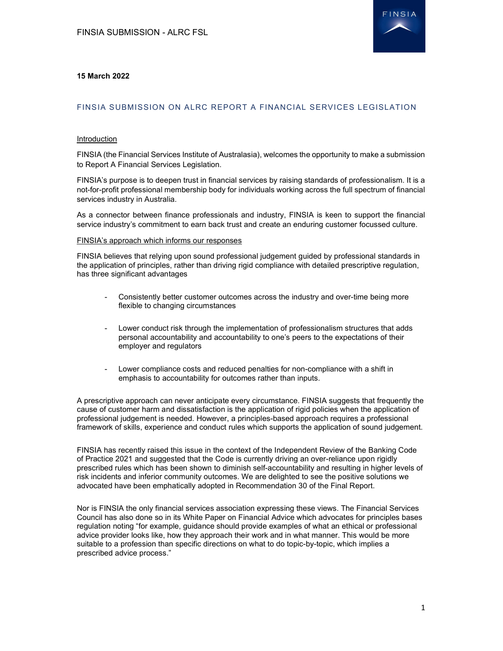

# 15 March 2022

# FINSIA SUBMISSION ON ALRC REPORT A FINANCIAL SERVICES LEGISLATION

### Introduction

FINSIA (the Financial Services Institute of Australasia), welcomes the opportunity to make a submission to Report A Financial Services Legislation.

FINSIA's purpose is to deepen trust in financial services by raising standards of professionalism. It is a not-for-profit professional membership body for individuals working across the full spectrum of financial services industry in Australia.

As a connector between finance professionals and industry, FINSIA is keen to support the financial service industry's commitment to earn back trust and create an enduring customer focussed culture.

#### FINSIA's approach which informs our responses

FINSIA believes that relying upon sound professional judgement guided by professional standards in the application of principles, rather than driving rigid compliance with detailed prescriptive regulation, has three significant advantages

- Consistently better customer outcomes across the industry and over-time being more flexible to changing circumstances
- Lower conduct risk through the implementation of professionalism structures that adds personal accountability and accountability to one's peers to the expectations of their employer and regulators
- Lower compliance costs and reduced penalties for non-compliance with a shift in emphasis to accountability for outcomes rather than inputs.

A prescriptive approach can never anticipate every circumstance. FINSIA suggests that frequently the cause of customer harm and dissatisfaction is the application of rigid policies when the application of professional judgement is needed. However, a principles-based approach requires a professional framework of skills, experience and conduct rules which supports the application of sound judgement.

FINSIA has recently raised this issue in the context of the Independent Review of the Banking Code of Practice 2021 and suggested that the Code is currently driving an over-reliance upon rigidly prescribed rules which has been shown to diminish self-accountability and resulting in higher levels of risk incidents and inferior community outcomes. We are delighted to see the positive solutions we advocated have been emphatically adopted in Recommendation 30 of the Final Report.

Nor is FINSIA the only financial services association expressing these views. The Financial Services Council has also done so in its White Paper on Financial Advice which advocates for principles bases regulation noting "for example, guidance should provide examples of what an ethical or professional advice provider looks like, how they approach their work and in what manner. This would be more suitable to a profession than specific directions on what to do topic-by-topic, which implies a prescribed advice process."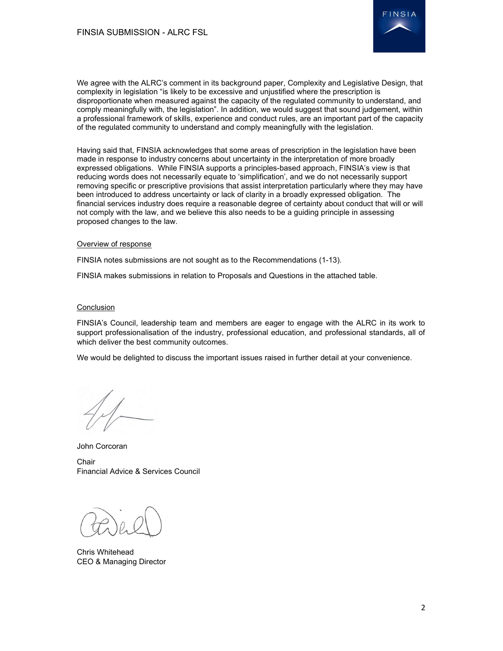

We agree with the ALRC's comment in its background paper, Complexity and Legislative Design, that complexity in legislation "is likely to be excessive and unjustified where the prescription is disproportionate when measured against the capacity of the regulated community to understand, and comply meaningfully with, the legislation". In addition, we would suggest that sound judgement, within a professional framework of skills, experience and conduct rules, are an important part of the capacity of the regulated community to understand and comply meaningfully with the legislation.

Having said that, FINSIA acknowledges that some areas of prescription in the legislation have been made in response to industry concerns about uncertainty in the interpretation of more broadly expressed obligations. While FINSIA supports a principles-based approach, FINSIA's view is that reducing words does not necessarily equate to 'simplification', and we do not necessarily support removing specific or prescriptive provisions that assist interpretation particularly where they may have been introduced to address uncertainty or lack of clarity in a broadly expressed obligation. The financial services industry does require a reasonable degree of certainty about conduct that will or will not comply with the law, and we believe this also needs to be a guiding principle in assessing proposed changes to the law.

### Overview of response

FINSIA notes submissions are not sought as to the Recommendations (1-13).

FINSIA makes submissions in relation to Proposals and Questions in the attached table.

# Conclusion

FINSIA's Council, leadership team and members are eager to engage with the ALRC in its work to support professionalisation of the industry, professional education, and professional standards, all of which deliver the best community outcomes.

We would be delighted to discuss the important issues raised in further detail at your convenience.

John Corcoran

**Chair** Financial Advice & Services Council

Chris Whitehead CEO & Managing Director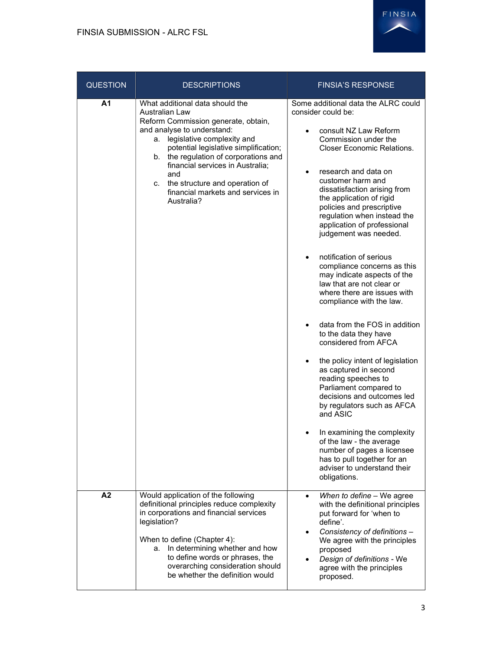

| <b>QUESTION</b> | <b>DESCRIPTIONS</b>                                                                                                                                                                                                                                                                                                                                                                | <b>FINSIA'S RESPONSE</b>                                                                                                                                                                                                                                                                                                                                                                                                                                                                                                                                                                                                                                                                                                                                                                                                                                                                                                                                                                                                  |
|-----------------|------------------------------------------------------------------------------------------------------------------------------------------------------------------------------------------------------------------------------------------------------------------------------------------------------------------------------------------------------------------------------------|---------------------------------------------------------------------------------------------------------------------------------------------------------------------------------------------------------------------------------------------------------------------------------------------------------------------------------------------------------------------------------------------------------------------------------------------------------------------------------------------------------------------------------------------------------------------------------------------------------------------------------------------------------------------------------------------------------------------------------------------------------------------------------------------------------------------------------------------------------------------------------------------------------------------------------------------------------------------------------------------------------------------------|
| Α1              | What additional data should the<br>Australian Law<br>Reform Commission generate, obtain,<br>and analyse to understand:<br>a. legislative complexity and<br>potential legislative simplification;<br>the regulation of corporations and<br>b.<br>financial services in Australia;<br>and<br>the structure and operation of<br>C.<br>financial markets and services in<br>Australia? | Some additional data the ALRC could<br>consider could be:<br>consult NZ Law Reform<br>Commission under the<br><b>Closer Economic Relations.</b><br>research and data on<br>customer harm and<br>dissatisfaction arising from<br>the application of rigid<br>policies and prescriptive<br>regulation when instead the<br>application of professional<br>judgement was needed.<br>notification of serious<br>$\bullet$<br>compliance concerns as this<br>may indicate aspects of the<br>law that are not clear or<br>where there are issues with<br>compliance with the law.<br>data from the FOS in addition<br>to the data they have<br>considered from AFCA<br>the policy intent of legislation<br>as captured in second<br>reading speeches to<br>Parliament compared to<br>decisions and outcomes led<br>by regulators such as AFCA<br>and ASIC<br>In examining the complexity<br>of the law - the average<br>number of pages a licensee<br>has to pull together for an<br>adviser to understand their<br>obligations. |
| A2              | Would application of the following<br>definitional principles reduce complexity<br>in corporations and financial services<br>legislation?<br>When to define (Chapter 4):<br>In determining whether and how<br>а.<br>to define words or phrases, the<br>overarching consideration should<br>be whether the definition would                                                         | When to define - We agree<br>$\bullet$<br>with the definitional principles<br>put forward for 'when to<br>define'.<br>Consistency of definitions -<br>We agree with the principles<br>proposed<br>Design of definitions - We<br>agree with the principles<br>proposed.                                                                                                                                                                                                                                                                                                                                                                                                                                                                                                                                                                                                                                                                                                                                                    |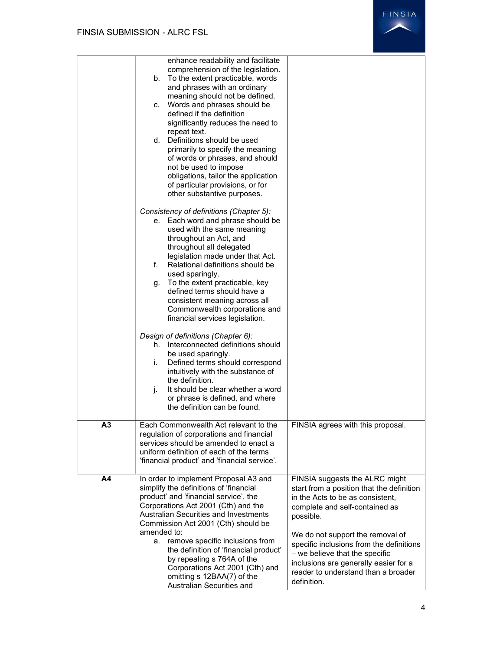|    | enhance readability and facilitate<br>comprehension of the legislation.<br>b. To the extent practicable, words<br>and phrases with an ordinary<br>meaning should not be defined.<br>c. Words and phrases should be<br>defined if the definition<br>significantly reduces the need to<br>repeat text.<br>d. Definitions should be used<br>primarily to specify the meaning<br>of words or phrases, and should<br>not be used to impose<br>obligations, tailor the application<br>of particular provisions, or for<br>other substantive purposes.<br>Consistency of definitions (Chapter 5):<br>e. Each word and phrase should be<br>used with the same meaning<br>throughout an Act, and<br>throughout all delegated<br>legislation made under that Act.<br>f.<br>Relational definitions should be<br>used sparingly.<br>g. To the extent practicable, key<br>defined terms should have a<br>consistent meaning across all<br>Commonwealth corporations and<br>financial services legislation.<br>Design of definitions (Chapter 6):<br>h. Interconnected definitions should<br>be used sparingly.<br>Defined terms should correspond<br>İ.<br>intuitively with the substance of<br>the definition.<br>It should be clear whether a word<br>j.<br>or phrase is defined, and where<br>the definition can be found. |                                                                                                                                                                                                                                                                                                                                                                                 |
|----|------------------------------------------------------------------------------------------------------------------------------------------------------------------------------------------------------------------------------------------------------------------------------------------------------------------------------------------------------------------------------------------------------------------------------------------------------------------------------------------------------------------------------------------------------------------------------------------------------------------------------------------------------------------------------------------------------------------------------------------------------------------------------------------------------------------------------------------------------------------------------------------------------------------------------------------------------------------------------------------------------------------------------------------------------------------------------------------------------------------------------------------------------------------------------------------------------------------------------------------------------------------------------------------------------------------|---------------------------------------------------------------------------------------------------------------------------------------------------------------------------------------------------------------------------------------------------------------------------------------------------------------------------------------------------------------------------------|
| A3 | Each Commonwealth Act relevant to the<br>regulation of corporations and financial<br>services should be amended to enact a<br>uniform definition of each of the terms                                                                                                                                                                                                                                                                                                                                                                                                                                                                                                                                                                                                                                                                                                                                                                                                                                                                                                                                                                                                                                                                                                                                            | FINSIA agrees with this proposal.                                                                                                                                                                                                                                                                                                                                               |
| A4 | 'financial product' and 'financial service'.<br>In order to implement Proposal A3 and<br>simplify the definitions of 'financial<br>product' and 'financial service', the<br>Corporations Act 2001 (Cth) and the<br><b>Australian Securities and Investments</b><br>Commission Act 2001 (Cth) should be<br>amended to:<br>a. remove specific inclusions from<br>the definition of 'financial product'<br>by repealing s 764A of the<br>Corporations Act 2001 (Cth) and<br>omitting s 12BAA(7) of the<br>Australian Securities and                                                                                                                                                                                                                                                                                                                                                                                                                                                                                                                                                                                                                                                                                                                                                                                 | FINSIA suggests the ALRC might<br>start from a position that the definition<br>in the Acts to be as consistent,<br>complete and self-contained as<br>possible.<br>We do not support the removal of<br>specific inclusions from the definitions<br>- we believe that the specific<br>inclusions are generally easier for a<br>reader to understand than a broader<br>definition. |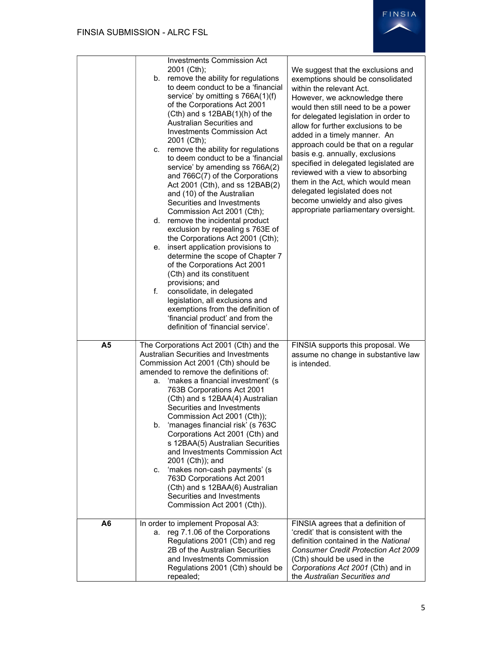

|                | <b>Investments Commission Act</b><br>2001 (Cth);<br>remove the ability for regulations<br>b.<br>to deem conduct to be a 'financial<br>service' by omitting s 766A(1)(f)<br>of the Corporations Act 2001<br>$(Cth)$ and s 12BAB $(1)(h)$ of the<br>Australian Securities and<br><b>Investments Commission Act</b><br>2001 (Cth);<br>remove the ability for regulations<br>C.<br>to deem conduct to be a 'financial<br>service' by amending ss 766A(2)<br>and 766C(7) of the Corporations<br>Act 2001 (Cth), and ss 12BAB(2)<br>and (10) of the Australian<br>Securities and Investments<br>Commission Act 2001 (Cth);<br>d. remove the incidental product<br>exclusion by repealing s 763E of<br>the Corporations Act 2001 (Cth);<br>insert application provisions to<br>е.<br>determine the scope of Chapter 7<br>of the Corporations Act 2001<br>(Cth) and its constituent<br>provisions; and<br>f.<br>consolidate, in delegated<br>legislation, all exclusions and<br>exemptions from the definition of<br>'financial product' and from the<br>definition of 'financial service'. | We suggest that the exclusions and<br>exemptions should be consolidated<br>within the relevant Act.<br>However, we acknowledge there<br>would then still need to be a power<br>for delegated legislation in order to<br>allow for further exclusions to be<br>added in a timely manner. An<br>approach could be that on a regular<br>basis e.g. annually, exclusions<br>specified in delegated legislated are<br>reviewed with a view to absorbing<br>them in the Act, which would mean<br>delegated legislated does not<br>become unwieldy and also gives<br>appropriate parliamentary oversight. |
|----------------|-------------------------------------------------------------------------------------------------------------------------------------------------------------------------------------------------------------------------------------------------------------------------------------------------------------------------------------------------------------------------------------------------------------------------------------------------------------------------------------------------------------------------------------------------------------------------------------------------------------------------------------------------------------------------------------------------------------------------------------------------------------------------------------------------------------------------------------------------------------------------------------------------------------------------------------------------------------------------------------------------------------------------------------------------------------------------------------|----------------------------------------------------------------------------------------------------------------------------------------------------------------------------------------------------------------------------------------------------------------------------------------------------------------------------------------------------------------------------------------------------------------------------------------------------------------------------------------------------------------------------------------------------------------------------------------------------|
| A <sub>5</sub> | The Corporations Act 2001 (Cth) and the<br>Australian Securities and Investments<br>Commission Act 2001 (Cth) should be<br>amended to remove the definitions of:<br>'makes a financial investment' (s<br>а.<br>763B Corporations Act 2001<br>(Cth) and s 12BAA(4) Australian<br>Securities and Investments<br>Commission Act 2001 (Cth));<br>b.<br>'manages financial risk' (s 763C<br>Corporations Act 2001 (Cth) and<br>s 12BAA(5) Australian Securities<br>and Investments Commission Act<br>2001 (Cth)); and<br>'makes non-cash payments' (s<br>C.<br>763D Corporations Act 2001<br>(Cth) and s 12BAA(6) Australian<br>Securities and Investments<br>Commission Act 2001 (Cth)).                                                                                                                                                                                                                                                                                                                                                                                                | FINSIA supports this proposal. We<br>assume no change in substantive law<br>is intended.                                                                                                                                                                                                                                                                                                                                                                                                                                                                                                           |
| A <sub>6</sub> | In order to implement Proposal A3:<br>reg 7.1.06 of the Corporations<br>а.<br>Regulations 2001 (Cth) and reg<br>2B of the Australian Securities<br>and Investments Commission<br>Regulations 2001 (Cth) should be<br>repealed;                                                                                                                                                                                                                                                                                                                                                                                                                                                                                                                                                                                                                                                                                                                                                                                                                                                      | FINSIA agrees that a definition of<br>'credit' that is consistent with the<br>definition contained in the National<br><b>Consumer Credit Protection Act 2009</b><br>(Cth) should be used in the<br>Corporations Act 2001 (Cth) and in<br>the Australian Securities and                                                                                                                                                                                                                                                                                                                             |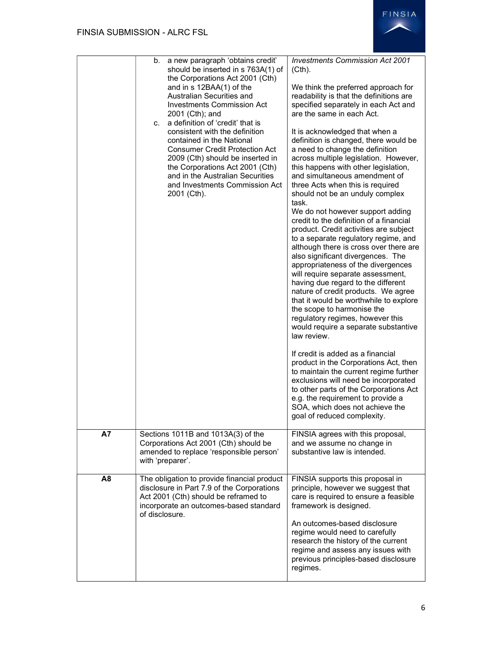

|                | a new paragraph 'obtains credit'<br>b.<br>should be inserted in s 763A(1) of<br>the Corporations Act 2001 (Cth)<br>and in s 12BAA(1) of the<br>Australian Securities and<br><b>Investments Commission Act</b><br>2001 (Cth); and<br>a definition of 'credit' that is<br>C.<br>consistent with the definition<br>contained in the National<br>Consumer Credit Protection Act<br>2009 (Cth) should be inserted in<br>the Corporations Act 2001 (Cth)<br>and in the Australian Securities<br>and Investments Commission Act<br>2001 (Cth). | <b>Investments Commission Act 2001</b><br>(Cth).<br>We think the preferred approach for<br>readability is that the definitions are<br>specified separately in each Act and<br>are the same in each Act.<br>It is acknowledged that when a<br>definition is changed, there would be<br>a need to change the definition<br>across multiple legislation. However,<br>this happens with other legislation,<br>and simultaneous amendment of<br>three Acts when this is required<br>should not be an unduly complex<br>task.<br>We do not however support adding<br>credit to the definition of a financial<br>product. Credit activities are subject<br>to a separate regulatory regime, and<br>although there is cross over there are<br>also significant divergences. The<br>appropriateness of the divergences<br>will require separate assessment,<br>having due regard to the different<br>nature of credit products. We agree<br>that it would be worthwhile to explore<br>the scope to harmonise the<br>regulatory regimes, however this<br>would require a separate substantive<br>law review.<br>If credit is added as a financial<br>product in the Corporations Act, then<br>to maintain the current regime further<br>exclusions will need be incorporated<br>to other parts of the Corporations Act<br>e.g. the requirement to provide a<br>SOA, which does not achieve the<br>goal of reduced complexity. |
|----------------|-----------------------------------------------------------------------------------------------------------------------------------------------------------------------------------------------------------------------------------------------------------------------------------------------------------------------------------------------------------------------------------------------------------------------------------------------------------------------------------------------------------------------------------------|---------------------------------------------------------------------------------------------------------------------------------------------------------------------------------------------------------------------------------------------------------------------------------------------------------------------------------------------------------------------------------------------------------------------------------------------------------------------------------------------------------------------------------------------------------------------------------------------------------------------------------------------------------------------------------------------------------------------------------------------------------------------------------------------------------------------------------------------------------------------------------------------------------------------------------------------------------------------------------------------------------------------------------------------------------------------------------------------------------------------------------------------------------------------------------------------------------------------------------------------------------------------------------------------------------------------------------------------------------------------------------------------------------------------|
| <b>A7</b>      | Sections 1011B and 1013A(3) of the<br>Corporations Act 2001 (Cth) should be<br>amended to replace 'responsible person'<br>with 'preparer'.                                                                                                                                                                                                                                                                                                                                                                                              | FINSIA agrees with this proposal,<br>and we assume no change in<br>substantive law is intended.                                                                                                                                                                                                                                                                                                                                                                                                                                                                                                                                                                                                                                                                                                                                                                                                                                                                                                                                                                                                                                                                                                                                                                                                                                                                                                                     |
| A <sub>8</sub> | The obligation to provide financial product<br>disclosure in Part 7.9 of the Corporations<br>Act 2001 (Cth) should be reframed to<br>incorporate an outcomes-based standard<br>of disclosure.                                                                                                                                                                                                                                                                                                                                           | FINSIA supports this proposal in<br>principle, however we suggest that<br>care is required to ensure a feasible<br>framework is designed.<br>An outcomes-based disclosure<br>regime would need to carefully<br>research the history of the current<br>regime and assess any issues with<br>previous principles-based disclosure<br>regimes.                                                                                                                                                                                                                                                                                                                                                                                                                                                                                                                                                                                                                                                                                                                                                                                                                                                                                                                                                                                                                                                                         |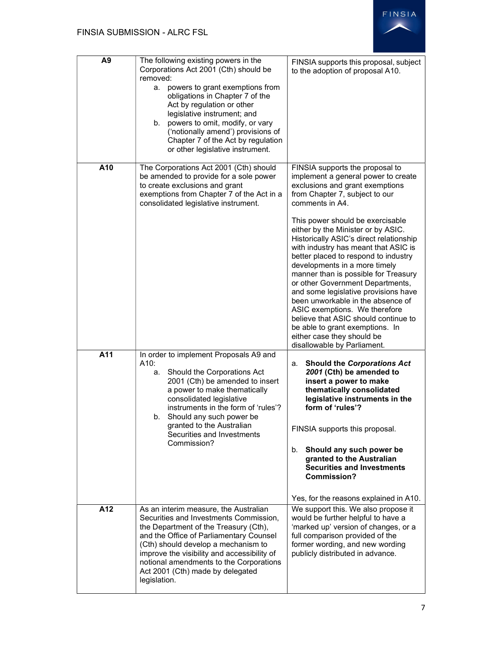| A <sub>9</sub> | The following existing powers in the<br>Corporations Act 2001 (Cth) should be<br>removed:<br>powers to grant exemptions from<br>а.<br>obligations in Chapter 7 of the<br>Act by regulation or other<br>legislative instrument; and<br>b. powers to omit, modify, or vary<br>('notionally amend') provisions of<br>Chapter 7 of the Act by regulation<br>or other legislative instrument. | FINSIA supports this proposal, subject<br>to the adoption of proposal A10.                                                                                                                                                                                                                                                                                                                                                                                                                                                                                                                                                                                                                              |
|----------------|------------------------------------------------------------------------------------------------------------------------------------------------------------------------------------------------------------------------------------------------------------------------------------------------------------------------------------------------------------------------------------------|---------------------------------------------------------------------------------------------------------------------------------------------------------------------------------------------------------------------------------------------------------------------------------------------------------------------------------------------------------------------------------------------------------------------------------------------------------------------------------------------------------------------------------------------------------------------------------------------------------------------------------------------------------------------------------------------------------|
| A10            | The Corporations Act 2001 (Cth) should<br>be amended to provide for a sole power<br>to create exclusions and grant<br>exemptions from Chapter 7 of the Act in a<br>consolidated legislative instrument.                                                                                                                                                                                  | FINSIA supports the proposal to<br>implement a general power to create<br>exclusions and grant exemptions<br>from Chapter 7, subject to our<br>comments in A4.<br>This power should be exercisable<br>either by the Minister or by ASIC.<br>Historically ASIC's direct relationship<br>with industry has meant that ASIC is<br>better placed to respond to industry<br>developments in a more timely<br>manner than is possible for Treasury<br>or other Government Departments,<br>and some legislative provisions have<br>been unworkable in the absence of<br>ASIC exemptions. We therefore<br>believe that ASIC should continue to<br>be able to grant exemptions. In<br>either case they should be |
| A11            | In order to implement Proposals A9 and<br>A10:<br>Should the Corporations Act<br>а.<br>2001 (Cth) be amended to insert<br>a power to make thematically<br>consolidated legislative<br>instruments in the form of 'rules'?<br>b. Should any such power be<br>granted to the Australian<br>Securities and Investments<br>Commission?                                                       | disallowable by Parliament.<br><b>Should the Corporations Act</b><br>а.<br>2001 (Cth) be amended to<br>insert a power to make<br>thematically consolidated<br>legislative instruments in the<br>form of 'rules'?<br>FINSIA supports this proposal.<br>Should any such power be<br>b.<br>granted to the Australian<br><b>Securities and Investments</b><br>Commission?<br>Yes, for the reasons explained in A10.                                                                                                                                                                                                                                                                                         |
| A12            | As an interim measure, the Australian<br>Securities and Investments Commission,<br>the Department of the Treasury (Cth),<br>and the Office of Parliamentary Counsel<br>(Cth) should develop a mechanism to<br>improve the visibility and accessibility of<br>notional amendments to the Corporations<br>Act 2001 (Cth) made by delegated<br>legislation.                                 | We support this. We also propose it<br>would be further helpful to have a<br>'marked up' version of changes, or a<br>full comparison provided of the<br>former wording, and new wording<br>publicly distributed in advance.                                                                                                                                                                                                                                                                                                                                                                                                                                                                             |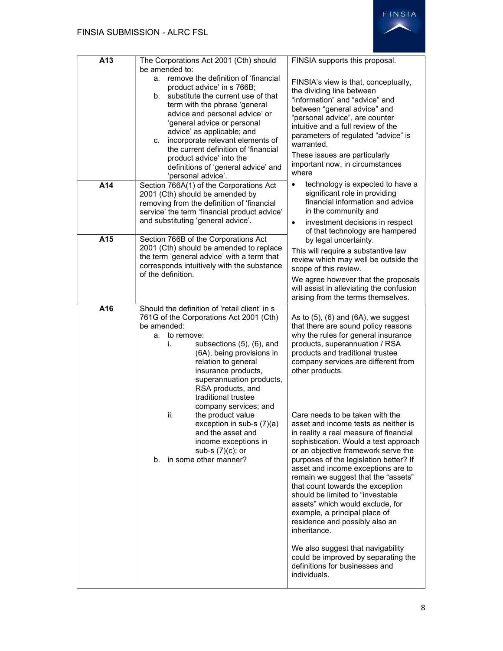| A13                                                                                                                                                                            | The Corporations Act 2001 (Cth) should<br>be amended to:<br>remove the definition of 'financial<br>a.<br>product advice' in s 766B;<br>substitute the current use of that<br>b.<br>term with the phrase 'general<br>advice and personal advice' or<br>'general advice or personal<br>advice' as applicable; and<br>incorporate relevant elements of<br>C.                                                                                                                                                               | FINSIA supports this proposal.<br>FINSIA's view is that, conceptually,<br>the dividing line between<br>"information" and "advice" and<br>between "general advice" and<br>"personal advice", are counter<br>intuitive and a full review of the<br>parameters of regulated "advice" is<br>warranted. |
|--------------------------------------------------------------------------------------------------------------------------------------------------------------------------------|-------------------------------------------------------------------------------------------------------------------------------------------------------------------------------------------------------------------------------------------------------------------------------------------------------------------------------------------------------------------------------------------------------------------------------------------------------------------------------------------------------------------------|----------------------------------------------------------------------------------------------------------------------------------------------------------------------------------------------------------------------------------------------------------------------------------------------------|
|                                                                                                                                                                                | the current definition of 'financial<br>product advice' into the<br>definitions of 'general advice' and<br>'personal advice'.                                                                                                                                                                                                                                                                                                                                                                                           | These issues are particularly<br>important now, in circumstances<br>where                                                                                                                                                                                                                          |
| A14                                                                                                                                                                            | Section 766A(1) of the Corporations Act<br>2001 (Cth) should be amended by<br>removing from the definition of 'financial<br>service' the term 'financial product advice'<br>and substituting 'general advice'.                                                                                                                                                                                                                                                                                                          | technology is expected to have a<br>$\bullet$<br>significant role in providing<br>financial information and advice<br>in the community and<br>investment decisions in respect<br>$\bullet$                                                                                                         |
| A15                                                                                                                                                                            | Section 766B of the Corporations Act<br>2001 (Cth) should be amended to replace<br>the term 'general advice' with a term that<br>corresponds intuitively with the substance<br>of the definition.                                                                                                                                                                                                                                                                                                                       | of that technology are hampered<br>by legal uncertainty.<br>This will require a substantive law<br>review which may well be outside the<br>scope of this review.<br>We agree however that the proposals<br>will assist in alleviating the confusion<br>arising from the terms themselves.          |
| A16                                                                                                                                                                            | Should the definition of 'retail client' in s<br>761G of the Corporations Act 2001 (Cth)<br>be amended:<br>to remove:<br>а.<br>subsections (5), (6), and<br>i.<br>(6A), being provisions in<br>relation to general<br>insurance products,<br>superannuation products,<br>RSA products, and<br>traditional trustee                                                                                                                                                                                                       | As to $(5)$ , $(6)$ and $(6A)$ , we suggest<br>that there are sound policy reasons<br>why the rules for general insurance<br>products, superannuation / RSA<br>products and traditional trustee<br>company services are different from<br>other products.                                          |
| company services; and<br>the product value<br>ii.<br>exception in sub-s (7)(a)<br>and the asset and<br>income exceptions in<br>sub-s $(7)(c)$ ; or<br>b. in some other manner? | Care needs to be taken with the<br>asset and income tests as neither is<br>in reality a real measure of financial<br>sophistication. Would a test approach<br>or an objective framework serve the<br>purposes of the legislation better? If<br>asset and income exceptions are to<br>remain we suggest that the "assets"<br>that count towards the exception<br>should be limited to "investable<br>assets" which would exclude, for<br>example, a principal place of<br>residence and possibly also an<br>inheritance. |                                                                                                                                                                                                                                                                                                    |
|                                                                                                                                                                                |                                                                                                                                                                                                                                                                                                                                                                                                                                                                                                                         | We also suggest that navigability<br>could be improved by separating the<br>definitions for businesses and<br>individuals.                                                                                                                                                                         |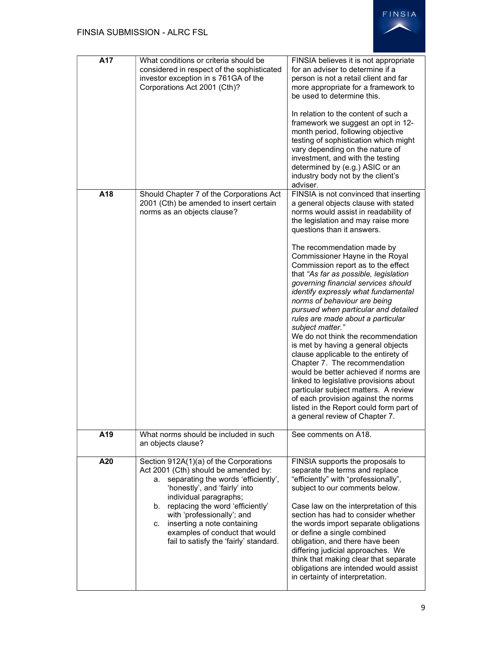

| A17 | What conditions or criteria should be<br>considered in respect of the sophisticated<br>investor exception in s 761GA of the<br>Corporations Act 2001 (Cth)?                                                                                                                                                                                                                  | FINSIA believes it is not appropriate<br>for an adviser to determine if a<br>person is not a retail client and far<br>more appropriate for a framework to<br>be used to determine this.<br>In relation to the content of such a<br>framework we suggest an opt in 12-<br>month period, following objective<br>testing of sophistication which might<br>vary depending on the nature of<br>investment, and with the testing<br>determined by (e.g.) ASIC or an<br>industry body not by the client's<br>adviser.                                                                                                                                                                                                                                                                                                                                                                                                                                                |
|-----|------------------------------------------------------------------------------------------------------------------------------------------------------------------------------------------------------------------------------------------------------------------------------------------------------------------------------------------------------------------------------|---------------------------------------------------------------------------------------------------------------------------------------------------------------------------------------------------------------------------------------------------------------------------------------------------------------------------------------------------------------------------------------------------------------------------------------------------------------------------------------------------------------------------------------------------------------------------------------------------------------------------------------------------------------------------------------------------------------------------------------------------------------------------------------------------------------------------------------------------------------------------------------------------------------------------------------------------------------|
| A18 | Should Chapter 7 of the Corporations Act<br>2001 (Cth) be amended to insert certain<br>norms as an objects clause?                                                                                                                                                                                                                                                           | FINSIA is not convinced that inserting<br>a general objects clause with stated<br>norms would assist in readability of<br>the legislation and may raise more<br>questions than it answers.<br>The recommendation made by<br>Commissioner Hayne in the Royal<br>Commission report as to the effect<br>that "As far as possible, legislation<br>governing financial services should<br>identify expressly what fundamental<br>norms of behaviour are being<br>pursued when particular and detailed<br>rules are made about a particular<br>subject matter."<br>We do not think the recommendation<br>is met by having a general objects<br>clause applicable to the entirety of<br>Chapter 7. The recommendation<br>would be better achieved if norms are<br>linked to legislative provisions about<br>particular subject matters. A review<br>of each provision against the norms<br>listed in the Report could form part of<br>a general review of Chapter 7. |
| A19 | What norms should be included in such<br>an objects clause?                                                                                                                                                                                                                                                                                                                  | See comments on A18.                                                                                                                                                                                                                                                                                                                                                                                                                                                                                                                                                                                                                                                                                                                                                                                                                                                                                                                                          |
| A20 | Section 912A(1)(a) of the Corporations<br>Act 2001 (Cth) should be amended by:<br>separating the words 'efficiently',<br>a.<br>'honestly', and 'fairly' into<br>individual paragraphs;<br>b. replacing the word 'efficiently'<br>with 'professionally'; and<br>inserting a note containing<br>C.<br>examples of conduct that would<br>fail to satisfy the 'fairly' standard. | FINSIA supports the proposals to<br>separate the terms and replace<br>"efficiently" with "professionally",<br>subject to our comments below.<br>Case law on the interpretation of this<br>section has had to consider whether<br>the words import separate obligations<br>or define a single combined<br>obligation, and there have been<br>differing judicial approaches. We<br>think that making clear that separate<br>obligations are intended would assist<br>in certainty of interpretation.                                                                                                                                                                                                                                                                                                                                                                                                                                                            |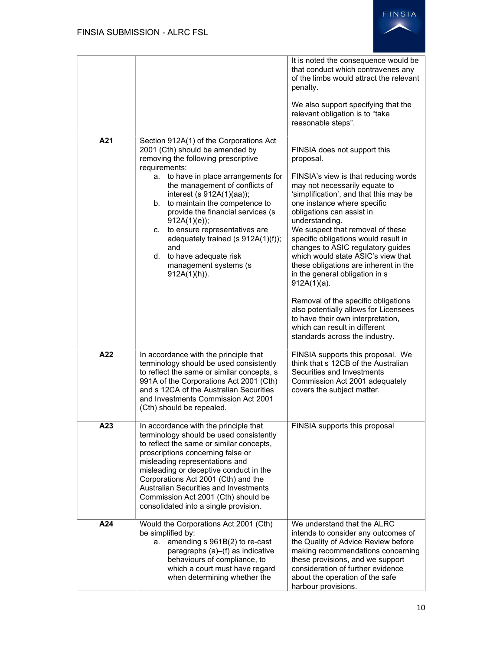

|     |                                                                                                                                                                                                                                                                                                                                                                                                                                                                                               | It is noted the consequence would be<br>that conduct which contravenes any<br>of the limbs would attract the relevant<br>penalty.<br>We also support specifying that the<br>relevant obligation is to "take<br>reasonable steps".                                                                                                                                                                                                                                                                                                                                              |
|-----|-----------------------------------------------------------------------------------------------------------------------------------------------------------------------------------------------------------------------------------------------------------------------------------------------------------------------------------------------------------------------------------------------------------------------------------------------------------------------------------------------|--------------------------------------------------------------------------------------------------------------------------------------------------------------------------------------------------------------------------------------------------------------------------------------------------------------------------------------------------------------------------------------------------------------------------------------------------------------------------------------------------------------------------------------------------------------------------------|
| A21 | Section 912A(1) of the Corporations Act<br>2001 (Cth) should be amended by<br>removing the following prescriptive<br>requirements:<br>a. to have in place arrangements for<br>the management of conflicts of<br>interest (s 912A(1)(aa));<br>b. to maintain the competence to<br>provide the financial services (s<br>$912A(1)(e)$ ;<br>c. to ensure representatives are<br>adequately trained (s 912A(1)(f));<br>and<br>d. to have adequate risk<br>management systems (s<br>$912A(1)(h)$ ). | FINSIA does not support this<br>proposal.<br>FINSIA's view is that reducing words<br>may not necessarily equate to<br>'simplification', and that this may be<br>one instance where specific<br>obligations can assist in<br>understanding.<br>We suspect that removal of these<br>specific obligations would result in<br>changes to ASIC regulatory guides<br>which would state ASIC's view that<br>these obligations are inherent in the<br>in the general obligation in s<br>$912A(1)(a)$ .<br>Removal of the specific obligations<br>also potentially allows for Licensees |
|     |                                                                                                                                                                                                                                                                                                                                                                                                                                                                                               | to have their own interpretation,<br>which can result in different<br>standards across the industry.                                                                                                                                                                                                                                                                                                                                                                                                                                                                           |
| A22 | In accordance with the principle that<br>terminology should be used consistently<br>to reflect the same or similar concepts, s<br>991A of the Corporations Act 2001 (Cth)<br>and s 12CA of the Australian Securities<br>and Investments Commission Act 2001<br>(Cth) should be repealed.                                                                                                                                                                                                      | FINSIA supports this proposal. We<br>think that s 12CB of the Australian<br>Securities and Investments<br>Commission Act 2001 adequately<br>covers the subject matter.                                                                                                                                                                                                                                                                                                                                                                                                         |
| A23 | In accordance with the principle that<br>terminology should be used consistently<br>to reflect the same or similar concepts,<br>proscriptions concerning false or<br>misleading representations and<br>misleading or deceptive conduct in the<br>Corporations Act 2001 (Cth) and the<br><b>Australian Securities and Investments</b><br>Commission Act 2001 (Cth) should be<br>consolidated into a single provision.                                                                          | FINSIA supports this proposal                                                                                                                                                                                                                                                                                                                                                                                                                                                                                                                                                  |
| A24 | Would the Corporations Act 2001 (Cth)<br>be simplified by:<br>amending s 961B(2) to re-cast<br>а.<br>paragraphs (a)–(f) as indicative<br>behaviours of compliance, to<br>which a court must have regard<br>when determining whether the                                                                                                                                                                                                                                                       | We understand that the ALRC<br>intends to consider any outcomes of<br>the Quality of Advice Review before<br>making recommendations concerning<br>these provisions, and we support<br>consideration of further evidence<br>about the operation of the safe<br>harbour provisions.                                                                                                                                                                                                                                                                                              |